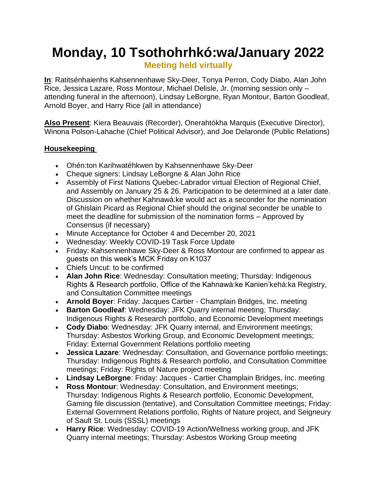# **Monday, 10 Tsothohrhkó:wa/January 2022**

**Meeting held virtually**

**In**: Ratitsénhaienhs Kahsennenhawe Sky-Deer, Tonya Perron, Cody Diabo, Alan John Rice, Jessica Lazare, Ross Montour, Michael Delisle, Jr. (morning session only – attending funeral in the afternoon), Lindsay LeBorgne, Ryan Montour, Barton Goodleaf, Arnold Boyer, and Harry Rice (all in attendance)

**Also Present**: Kiera Beauvais (Recorder), Onerahtókha Marquis (Executive Director), Winona Polson-Lahache (Chief Political Advisor), and Joe Delaronde (Public Relations)

# **Housekeeping**

- Ohén:ton Karihwatéhkwen by Kahsennenhawe Sky-Deer
- Cheque signers: Lindsay LeBorgne & Alan John Rice
- Assembly of First Nations Quebec-Labrador virtual Election of Regional Chief, and Assembly on January 25 & 26. Participation to be determined at a later date. Discussion on whether Kahnawà:ke would act as a seconder for the nomination of Ghislain Picard as Regional Chief should the original seconder be unable to meet the deadline for submission of the nomination forms – Approved by Consensus (if necessary)
- Minute Acceptance for October 4 and December 20, 2021
- Wednesday: Weekly COVID-19 Task Force Update
- Friday: Kahsennenhawe Sky-Deer & Ross Montour are confirmed to appear as guests on this week's MCK Friday on K1037
- Chiefs Uncut: to be confirmed
- **Alan John Rice**: Wednesday: Consultation meeting; Thursday: Indigenous Rights & Research portfolio, Office of the Kahnawà:ke Kanien'kehá:ka Registry, and Consultation Committee meetings
- **Arnold Boyer**: Friday: Jacques Cartier Champlain Bridges, Inc. meeting
- **Barton Goodleaf**: Wednesday: JFK Quarry internal meeting; Thursday: Indigenous Rights & Research portfolio, and Economic Development meetings
- **Cody Diabo**: Wednesday: JFK Quarry internal, and Environment meetings; Thursday: Asbestos Working Group, and Economic Development meetings; Friday: External Government Relations portfolio meeting
- **Jessica Lazare**: Wednesday: Consultation, and Governance portfolio meetings; Thursday: Indigenous Rights & Research portfolio, and Consultation Committee meetings; Friday: Rights of Nature project meeting
- **Lindsay LeBorgne**: Friday: Jacques Cartier Champlain Bridges, Inc. meeting
- **Ross Montour**: Wednesday: Consultation, and Environment meetings; Thursday: Indigenous Rights & Research portfolio, Economic Development, Gaming file discussion (tentative), and Consultation Committee meetings; Friday: External Government Relations portfolio, Rights of Nature project, and Seigneury of Sault St. Louis (SSSL) meetings
- **Harry Rice**: Wednesday: COVID-19 Action/Wellness working group, and JFK Quarry internal meetings; Thursday: Asbestos Working Group meeting